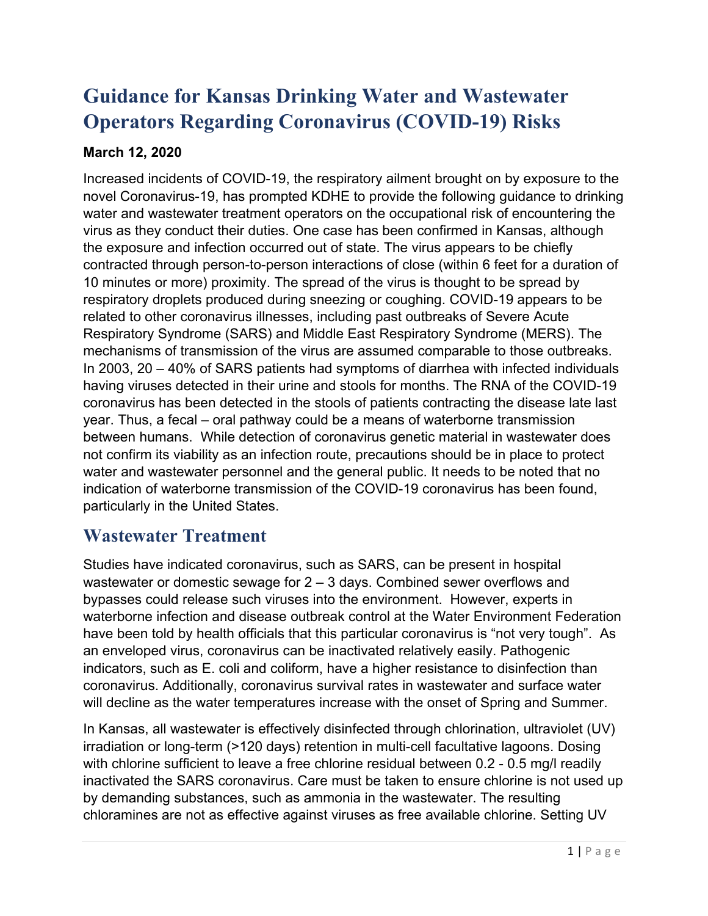# **Guidance for Kansas Drinking Water and Wastewater Operators Regarding Coronavirus (COVID-19) Risks**

#### **March 12, 2020**

Increased incidents of COVID-19, the respiratory ailment brought on by exposure to the novel Coronavirus-19, has prompted KDHE to provide the following guidance to drinking water and wastewater treatment operators on the occupational risk of encountering the virus as they conduct their duties. One case has been confirmed in Kansas, although the exposure and infection occurred out of state. The virus appears to be chiefly contracted through person-to-person interactions of close (within 6 feet for a duration of 10 minutes or more) proximity. The spread of the virus is thought to be spread by respiratory droplets produced during sneezing or coughing. COVID-19 appears to be related to other coronavirus illnesses, including past outbreaks of Severe Acute Respiratory Syndrome (SARS) and Middle East Respiratory Syndrome (MERS). The mechanisms of transmission of the virus are assumed comparable to those outbreaks. In 2003, 20 – 40% of SARS patients had symptoms of diarrhea with infected individuals having viruses detected in their urine and stools for months. The RNA of the COVID-19 coronavirus has been detected in the stools of patients contracting the disease late last year. Thus, a fecal – oral pathway could be a means of waterborne transmission between humans. While detection of coronavirus genetic material in wastewater does not confirm its viability as an infection route, precautions should be in place to protect water and wastewater personnel and the general public. It needs to be noted that no indication of waterborne transmission of the COVID-19 coronavirus has been found, particularly in the United States.

#### **Wastewater Treatment**

Studies have indicated coronavirus, such as SARS, can be present in hospital wastewater or domestic sewage for 2 – 3 days. Combined sewer overflows and bypasses could release such viruses into the environment. However, experts in waterborne infection and disease outbreak control at the Water Environment Federation have been told by health officials that this particular coronavirus is "not very tough". As an enveloped virus, coronavirus can be inactivated relatively easily. Pathogenic indicators, such as E. coli and coliform, have a higher resistance to disinfection than coronavirus. Additionally, coronavirus survival rates in wastewater and surface water will decline as the water temperatures increase with the onset of Spring and Summer.

In Kansas, all wastewater is effectively disinfected through chlorination, ultraviolet (UV) irradiation or long-term (>120 days) retention in multi-cell facultative lagoons. Dosing with chlorine sufficient to leave a free chlorine residual between 0.2 - 0.5 mg/l readily inactivated the SARS coronavirus. Care must be taken to ensure chlorine is not used up by demanding substances, such as ammonia in the wastewater. The resulting chloramines are not as effective against viruses as free available chlorine. Setting UV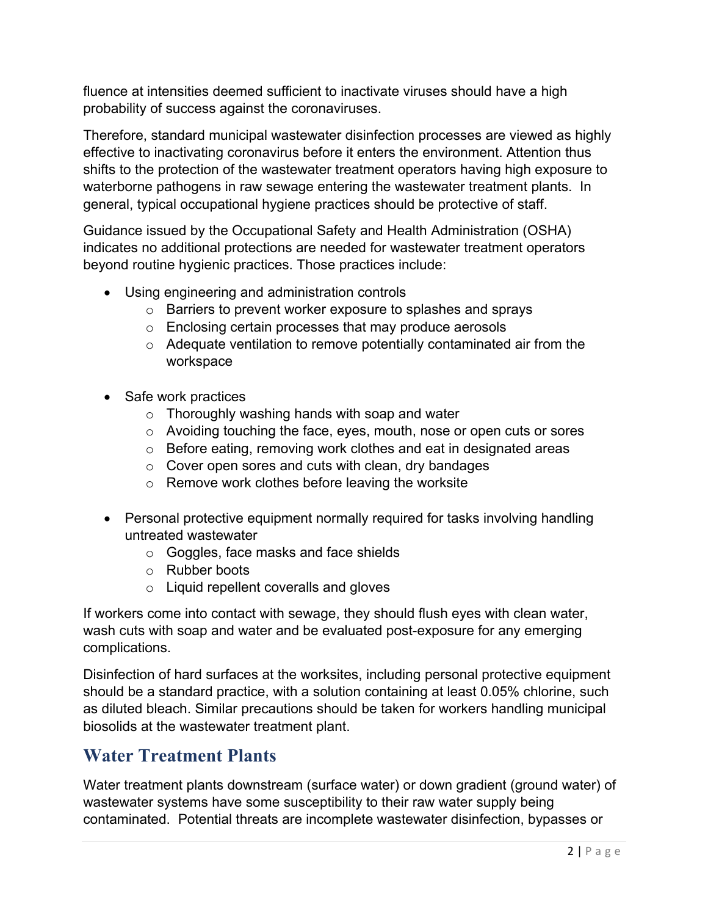fluence at intensities deemed sufficient to inactivate viruses should have a high probability of success against the coronaviruses.

Therefore, standard municipal wastewater disinfection processes are viewed as highly effective to inactivating coronavirus before it enters the environment. Attention thus shifts to the protection of the wastewater treatment operators having high exposure to waterborne pathogens in raw sewage entering the wastewater treatment plants. In general, typical occupational hygiene practices should be protective of staff.

Guidance issued by the Occupational Safety and Health Administration (OSHA) indicates no additional protections are needed for wastewater treatment operators beyond routine hygienic practices. Those practices include:

- Using engineering and administration controls
	- o Barriers to prevent worker exposure to splashes and sprays
	- o Enclosing certain processes that may produce aerosols
	- o Adequate ventilation to remove potentially contaminated air from the workspace
- Safe work practices
	- o Thoroughly washing hands with soap and water
	- o Avoiding touching the face, eyes, mouth, nose or open cuts or sores
	- o Before eating, removing work clothes and eat in designated areas
	- $\circ$  Cover open sores and cuts with clean, dry bandages
	- $\circ$  Remove work clothes before leaving the worksite
- Personal protective equipment normally required for tasks involving handling untreated wastewater
	- o Goggles, face masks and face shields
	- o Rubber boots
	- o Liquid repellent coveralls and gloves

If workers come into contact with sewage, they should flush eyes with clean water, wash cuts with soap and water and be evaluated post-exposure for any emerging complications.

Disinfection of hard surfaces at the worksites, including personal protective equipment should be a standard practice, with a solution containing at least 0.05% chlorine, such as diluted bleach. Similar precautions should be taken for workers handling municipal biosolids at the wastewater treatment plant.

## **Water Treatment Plants**

Water treatment plants downstream (surface water) or down gradient (ground water) of wastewater systems have some susceptibility to their raw water supply being contaminated. Potential threats are incomplete wastewater disinfection, bypasses or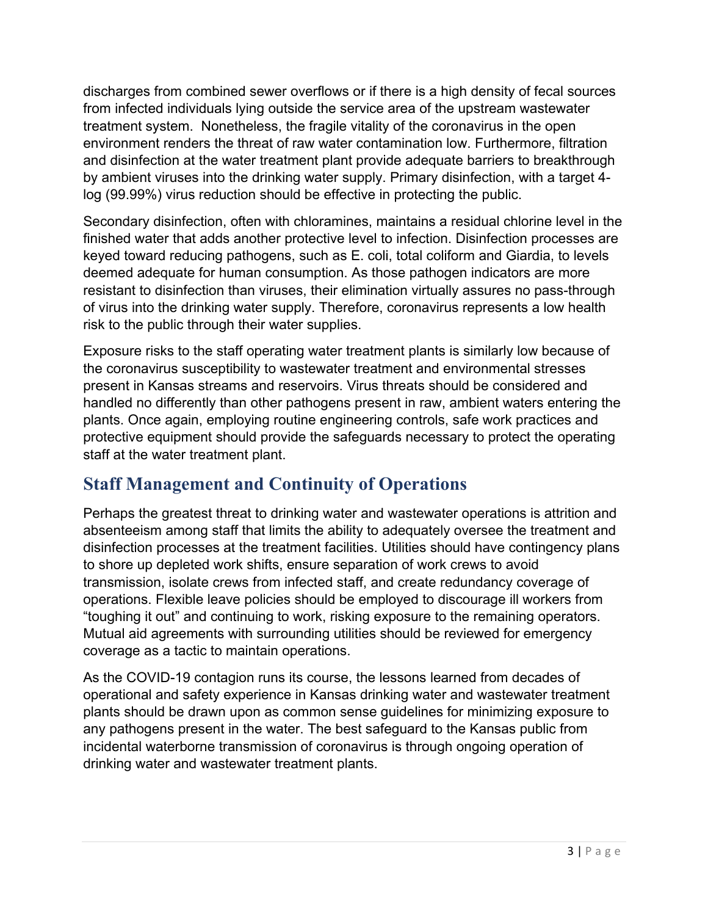discharges from combined sewer overflows or if there is a high density of fecal sources from infected individuals lying outside the service area of the upstream wastewater treatment system. Nonetheless, the fragile vitality of the coronavirus in the open environment renders the threat of raw water contamination low. Furthermore, filtration and disinfection at the water treatment plant provide adequate barriers to breakthrough by ambient viruses into the drinking water supply. Primary disinfection, with a target 4 log (99.99%) virus reduction should be effective in protecting the public.

Secondary disinfection, often with chloramines, maintains a residual chlorine level in the finished water that adds another protective level to infection. Disinfection processes are keyed toward reducing pathogens, such as E. coli, total coliform and Giardia, to levels deemed adequate for human consumption. As those pathogen indicators are more resistant to disinfection than viruses, their elimination virtually assures no pass-through of virus into the drinking water supply. Therefore, coronavirus represents a low health risk to the public through their water supplies.

Exposure risks to the staff operating water treatment plants is similarly low because of the coronavirus susceptibility to wastewater treatment and environmental stresses present in Kansas streams and reservoirs. Virus threats should be considered and handled no differently than other pathogens present in raw, ambient waters entering the plants. Once again, employing routine engineering controls, safe work practices and protective equipment should provide the safeguards necessary to protect the operating staff at the water treatment plant.

## **Staff Management and Continuity of Operations**

Perhaps the greatest threat to drinking water and wastewater operations is attrition and absenteeism among staff that limits the ability to adequately oversee the treatment and disinfection processes at the treatment facilities. Utilities should have contingency plans to shore up depleted work shifts, ensure separation of work crews to avoid transmission, isolate crews from infected staff, and create redundancy coverage of operations. Flexible leave policies should be employed to discourage ill workers from "toughing it out" and continuing to work, risking exposure to the remaining operators. Mutual aid agreements with surrounding utilities should be reviewed for emergency coverage as a tactic to maintain operations.

As the COVID-19 contagion runs its course, the lessons learned from decades of operational and safety experience in Kansas drinking water and wastewater treatment plants should be drawn upon as common sense guidelines for minimizing exposure to any pathogens present in the water. The best safeguard to the Kansas public from incidental waterborne transmission of coronavirus is through ongoing operation of drinking water and wastewater treatment plants.